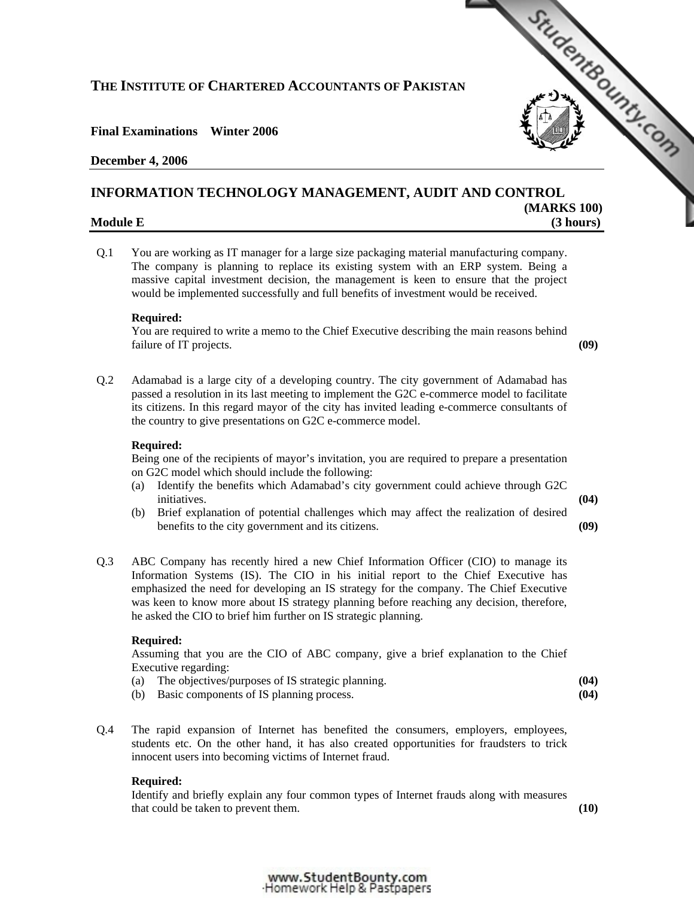# **THE INSTITUTE OF CHARTERED ACCOUNTANTS OF PAKISTAN**

# **Final Examinations Winter 2006**

# **December 4, 2006**

# THE INSTITUTE OF CHARTERED ACCOUNTANTS OF PAKISTAN<br>
Final Examinations Winter 2006<br>
December 4, 2006<br>
INFORMATION TECHNOLOGY MANAGEMENT, AUDIT AND CONTROL

# **Module E** (3 hours)

Q.1 You are working as IT manager for a large size packaging material manufacturing company. The company is planning to replace its existing system with an ERP system. Being a massive capital investment decision, the management is keen to ensure that the project would be implemented successfully and full benefits of investment would be received.

# **Required:**

 You are required to write a memo to the Chief Executive describing the main reasons behind failure of IT projects. **(09)**

**(MARKS 100)** 

Q.2 Adamabad is a large city of a developing country. The city government of Adamabad has passed a resolution in its last meeting to implement the G2C e-commerce model to facilitate its citizens. In this regard mayor of the city has invited leading e-commerce consultants of the country to give presentations on G2C e-commerce model.

# **Required:**

 Being one of the recipients of mayor's invitation, you are required to prepare a presentation on G2C model which should include the following:

- (a) Identify the benefits which Adamabad's city government could achieve through G2C initiatives. **(04)**
	-
- (b) Brief explanation of potential challenges which may affect the realization of desired benefits to the city government and its citizens. **(09)**
- Q.3 ABC Company has recently hired a new Chief Information Officer (CIO) to manage its Information Systems (IS). The CIO in his initial report to the Chief Executive has emphasized the need for developing an IS strategy for the company. The Chief Executive was keen to know more about IS strategy planning before reaching any decision, therefore, he asked the CIO to brief him further on IS strategic planning.

### **Required:**

 Assuming that you are the CIO of ABC company, give a brief explanation to the Chief Executive regarding:

| The objectives/purposes of IS strategic planning. | (04) |
|---------------------------------------------------|------|
| (b) Basic components of IS planning process.      | (04) |

Q.4 The rapid expansion of Internet has benefited the consumers, employers, employees, students etc. On the other hand, it has also created opportunities for fraudsters to trick innocent users into becoming victims of Internet fraud.

### **Required:**

 Identify and briefly explain any four common types of Internet frauds along with measures that could be taken to prevent them. **(10)**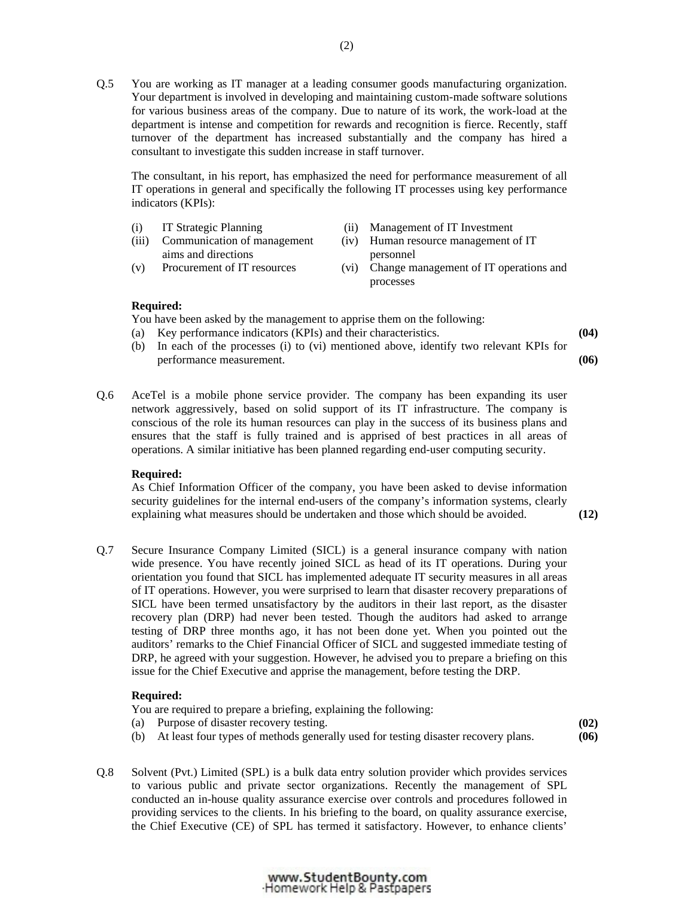Q.5 You are working as IT manager at a leading consumer goods manufacturing organization. Your department is involved in developing and maintaining custom-made software solutions for various business areas of the company. Due to nature of its work, the work-load at the department is intense and competition for rewards and recognition is fierce. Recently, staff turnover of the department has increased substantially and the company has hired a consultant to investigate this sudden increase in staff turnover.

 The consultant, in his report, has emphasized the need for performance measurement of all IT operations in general and specifically the following IT processes using key performance indicators (KPIs):

- (i) IT Strategic Planning (ii) Management of IT Investment (iii) Communication of management aims and directions (iv) Human resource management of IT personnel
- (v) Procurement of IT resources (vi) Change management of IT operations and processes

### **Required:**

You have been asked by the management to apprise them on the following:

- (a) Key performance indicators (KPIs) and their characteristics. **(04)**
- (b) In each of the processes (i) to (vi) mentioned above, identify two relevant KPIs for performance measurement. **(06)**
- Q.6 AceTel is a mobile phone service provider. The company has been expanding its user network aggressively, based on solid support of its IT infrastructure. The company is conscious of the role its human resources can play in the success of its business plans and ensures that the staff is fully trained and is apprised of best practices in all areas of operations. A similar initiative has been planned regarding end-user computing security.

### **Required:**

 As Chief Information Officer of the company, you have been asked to devise information security guidelines for the internal end-users of the company's information systems, clearly explaining what measures should be undertaken and those which should be avoided. **(12)**

- 
- Q.7 Secure Insurance Company Limited (SICL) is a general insurance company with nation wide presence. You have recently joined SICL as head of its IT operations. During your orientation you found that SICL has implemented adequate IT security measures in all areas of IT operations. However, you were surprised to learn that disaster recovery preparations of SICL have been termed unsatisfactory by the auditors in their last report, as the disaster recovery plan (DRP) had never been tested. Though the auditors had asked to arrange testing of DRP three months ago, it has not been done yet. When you pointed out the auditors' remarks to the Chief Financial Officer of SICL and suggested immediate testing of DRP, he agreed with your suggestion. However, he advised you to prepare a briefing on this issue for the Chief Executive and apprise the management, before testing the DRP.

### **Required:**

| You are required to prepare a briefing, explaining the following: |      |
|-------------------------------------------------------------------|------|
| (a) Purpose of disaster recovery testing.                         | (02) |

- (b) At least four types of methods generally used for testing disaster recovery plans. **(06)**
- Q.8 Solvent (Pvt.) Limited (SPL) is a bulk data entry solution provider which provides services to various public and private sector organizations. Recently the management of SPL conducted an in-house quality assurance exercise over controls and procedures followed in providing services to the clients. In his briefing to the board, on quality assurance exercise, the Chief Executive (CE) of SPL has termed it satisfactory. However, to enhance clients'